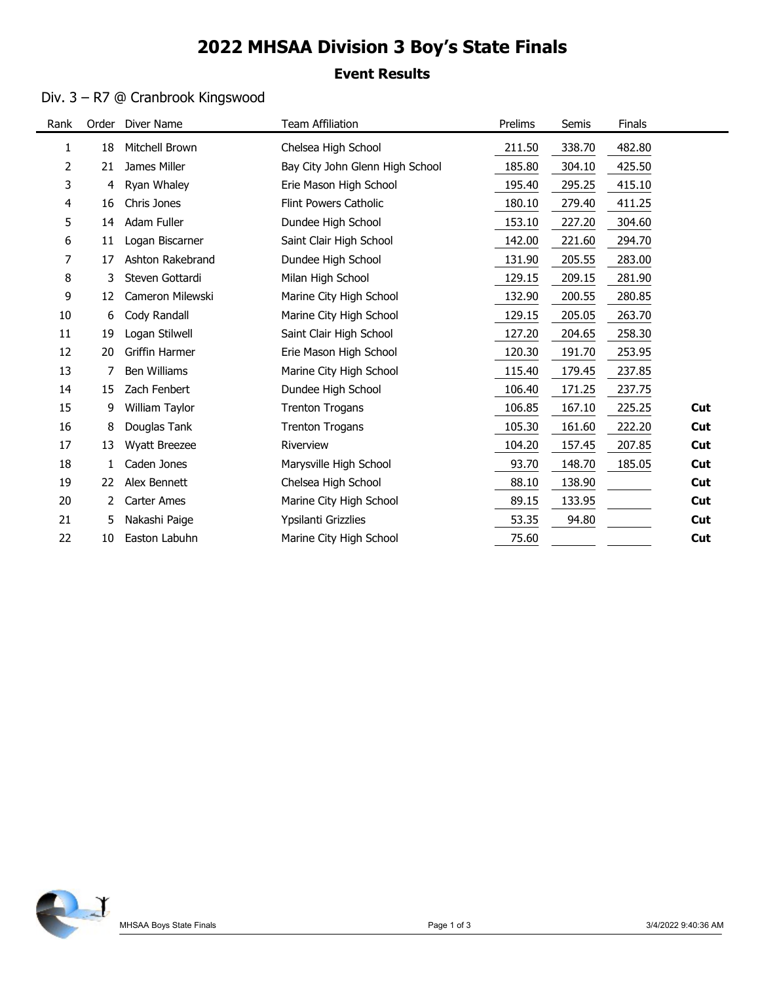# 2022 MHSAA Division 3 Boy's State Finals

### Event Results

### Div. 3 – R7 @ Cranbrook Kingswood

 $\blacksquare$ 

| <b>Event Results</b><br>Div. 3 - R7 @ Cranbrook Kingswood |              |                       |                                 |         |        |        |            |
|-----------------------------------------------------------|--------------|-----------------------|---------------------------------|---------|--------|--------|------------|
| Rank                                                      |              | Order Diver Name      | <b>Team Affiliation</b>         | Prelims | Semis  | Finals |            |
| 1                                                         | 18           | <b>Mitchell Brown</b> | Chelsea High School             | 211.50  | 338.70 | 482.80 |            |
| 2                                                         | 21           | James Miller          | Bay City John Glenn High School | 185.80  | 304.10 | 425.50 |            |
| 3                                                         | 4            | Ryan Whaley           | Erie Mason High School          | 195.40  | 295.25 | 415.10 |            |
| 4                                                         | 16           | Chris Jones           | Flint Powers Catholic           | 180.10  | 279.40 | 411.25 |            |
| 5                                                         | 14           | Adam Fuller           | Dundee High School              | 153.10  | 227.20 | 304.60 |            |
| 6                                                         | 11           | Logan Biscarner       | Saint Clair High School         | 142.00  | 221.60 | 294.70 |            |
| 7                                                         | 17           | Ashton Rakebrand      | Dundee High School              | 131.90  | 205.55 | 283.00 |            |
| 8                                                         | 3            | Steven Gottardi       | Milan High School               | 129.15  | 209.15 | 281.90 |            |
| 9                                                         | 12           | Cameron Milewski      | Marine City High School         | 132.90  | 200.55 | 280.85 |            |
| 10                                                        | 6            | Cody Randall          | Marine City High School         | 129.15  | 205.05 | 263.70 |            |
| 11                                                        | 19           | Logan Stilwell        | Saint Clair High School         | 127.20  | 204.65 | 258.30 |            |
| 12                                                        | 20           | Griffin Harmer        | Erie Mason High School          | 120.30  | 191.70 | 253.95 |            |
| 13                                                        | 7            | Ben Williams          | Marine City High School         | 115.40  | 179.45 | 237.85 |            |
| 14                                                        |              | 15 Zach Fenbert       | Dundee High School              | 106.40  | 171.25 | 237.75 |            |
| 15                                                        | 9            | William Taylor        | <b>Trenton Trogans</b>          | 106.85  | 167.10 | 225.25 | Cut        |
| 16                                                        | 8            | Douglas Tank          | <b>Trenton Trogans</b>          | 105.30  | 161.60 | 222.20 | Cut        |
| 17                                                        | 13           | <b>Wyatt Breezee</b>  | Riverview                       | 104.20  | 157.45 | 207.85 | Cut        |
| 18                                                        | $\mathbf{1}$ | Caden Jones           | Marysville High School          | 93.70   | 148.70 | 185.05 | Cut        |
| 19                                                        | 22           | Alex Bennett          | Chelsea High School             | 88.10   | 138.90 |        | Cut        |
| 20                                                        |              | 2 Carter Ames         | Marine City High School         | 89.15   | 133.95 |        | Cut        |
| 21                                                        | 5.           | Nakashi Paige         | Ypsilanti Grizzlies             | 53.35   | 94.80  |        | <b>Cut</b> |
| 22                                                        | 10           | Easton Labuhn         | Marine City High School         | 75.60   |        |        | <b>Cut</b> |

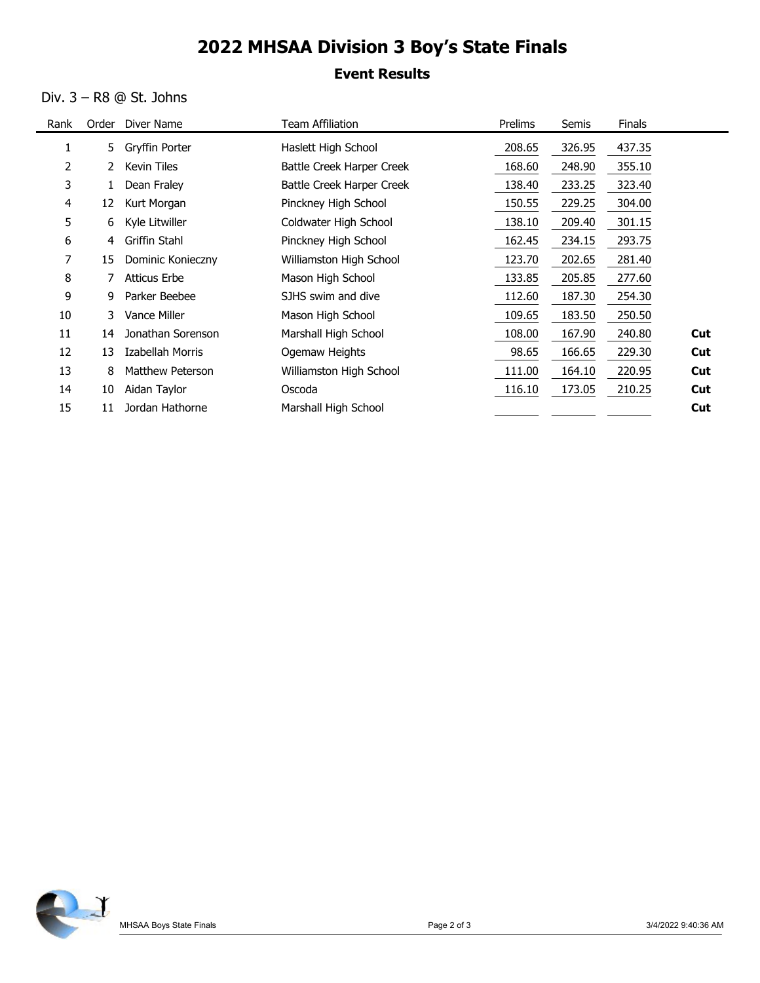# 2022 MHSAA Division 3 Boy's State Finals

### Event Results

#### Div. 3 – R8 @ St. Johns

|                |              |                           | 2022 MHSAA Division 3 Boy's State Finals |         |        |        |     |
|----------------|--------------|---------------------------|------------------------------------------|---------|--------|--------|-----|
|                |              |                           | <b>Event Results</b>                     |         |        |        |     |
|                |              | Div. $3 - R8$ @ St. Johns |                                          |         |        |        |     |
| Rank           |              | Order Diver Name          | <b>Team Affiliation</b>                  | Prelims | Semis  | Finals |     |
| 1              | 5            | Gryffin Porter            | Haslett High School                      | 208.65  | 326.95 | 437.35 |     |
| $\overline{2}$ |              | 2 Kevin Tiles             | Battle Creek Harper Creek                | 168.60  | 248.90 | 355.10 |     |
| 3              | $\mathbf{1}$ | Dean Fraley               | Battle Creek Harper Creek                | 138.40  | 233.25 | 323.40 |     |
| 4              | 12           | Kurt Morgan               | Pinckney High School                     | 150.55  | 229.25 | 304.00 |     |
| 5              | 6            | Kyle Litwiller            | Coldwater High School                    | 138.10  | 209.40 | 301.15 |     |
| 6              | 4            | Griffin Stahl             | Pinckney High School                     | 162.45  | 234.15 | 293.75 |     |
| 7              | 15           | Dominic Konieczny         | Williamston High School                  | 123.70  | 202.65 | 281.40 |     |
| 8              | 7            | <b>Atticus Erbe</b>       | Mason High School                        | 133.85  | 205.85 | 277.60 |     |
| 9              | 9            | Parker Beebee             | SJHS swim and dive                       | 112.60  | 187.30 | 254.30 |     |
| 10             | 3            | Vance Miller              | Mason High School                        | 109.65  | 183.50 | 250.50 |     |
| 11             | 14           | Jonathan Sorenson         | Marshall High School                     | 108.00  | 167.90 | 240.80 | Cut |
| 12             | 13           | Izabellah Morris          | Ogemaw Heights                           | 98.65   | 166.65 | 229.30 | Cut |
| 13             | 8            | Matthew Peterson          | Williamston High School                  | 111.00  | 164.10 | 220.95 | Cut |
| 14             | 10           | Aidan Taylor              | Oscoda                                   | 116.10  | 173.05 | 210.25 | Cut |
| 15             |              | 11 Jordan Hathorne        | Marshall High School                     |         |        |        | Cut |